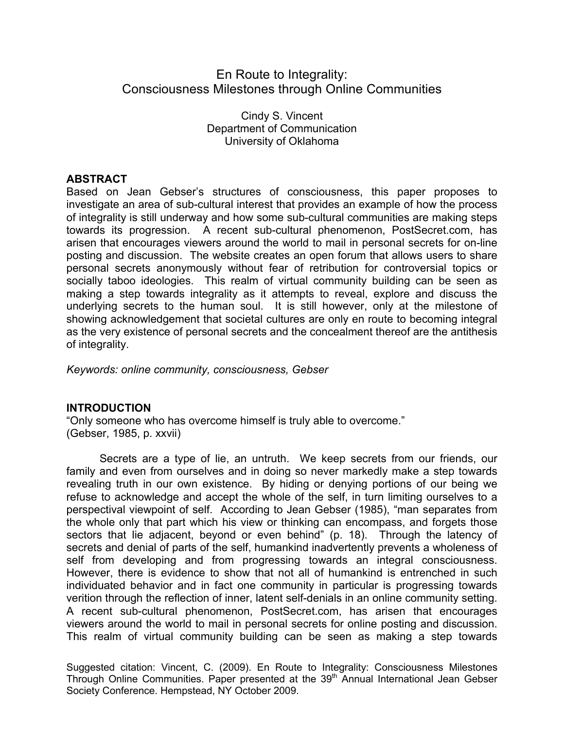# En Route to Integrality: Consciousness Milestones through Online Communities

Cindy S. Vincent Department of Communication University of Oklahoma

# **ABSTRACT**

Based on Jean Gebser's structures of consciousness, this paper proposes to investigate an area of sub-cultural interest that provides an example of how the process of integrality is still underway and how some sub-cultural communities are making steps towards its progression. A recent sub-cultural phenomenon, PostSecret.com, has arisen that encourages viewers around the world to mail in personal secrets for on-line posting and discussion. The website creates an open forum that allows users to share personal secrets anonymously without fear of retribution for controversial topics or socially taboo ideologies. This realm of virtual community building can be seen as making a step towards integrality as it attempts to reveal, explore and discuss the underlying secrets to the human soul. It is still however, only at the milestone of showing acknowledgement that societal cultures are only en route to becoming integral as the very existence of personal secrets and the concealment thereof are the antithesis of integrality.

*Keywords: online community, consciousness, Gebser*

# **INTRODUCTION**

"Only someone who has overcome himself is truly able to overcome." (Gebser, 1985, p. xxvii)

Secrets are a type of lie, an untruth. We keep secrets from our friends, our family and even from ourselves and in doing so never markedly make a step towards revealing truth in our own existence. By hiding or denying portions of our being we refuse to acknowledge and accept the whole of the self, in turn limiting ourselves to a perspectival viewpoint of self. According to Jean Gebser (1985), "man separates from the whole only that part which his view or thinking can encompass, and forgets those sectors that lie adjacent, beyond or even behind" (p. 18). Through the latency of secrets and denial of parts of the self, humankind inadvertently prevents a wholeness of self from developing and from progressing towards an integral consciousness. However, there is evidence to show that not all of humankind is entrenched in such individuated behavior and in fact one community in particular is progressing towards verition through the reflection of inner, latent self-denials in an online community setting. A recent sub-cultural phenomenon, PostSecret.com, has arisen that encourages viewers around the world to mail in personal secrets for online posting and discussion. This realm of virtual community building can be seen as making a step towards

Suggested citation: Vincent, C. (2009). En Route to Integrality: Consciousness Milestones Through Online Communities. Paper presented at the 39<sup>th</sup> Annual International Jean Gebser Society Conference. Hempstead, NY October 2009.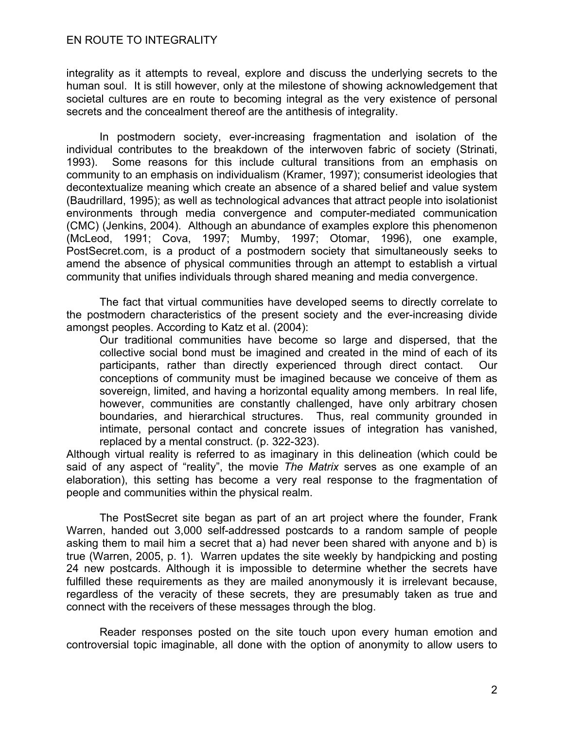integrality as it attempts to reveal, explore and discuss the underlying secrets to the human soul. It is still however, only at the milestone of showing acknowledgement that societal cultures are en route to becoming integral as the very existence of personal secrets and the concealment thereof are the antithesis of integrality.

In postmodern society, ever-increasing fragmentation and isolation of the individual contributes to the breakdown of the interwoven fabric of society (Strinati, 1993). Some reasons for this include cultural transitions from an emphasis on community to an emphasis on individualism (Kramer, 1997); consumerist ideologies that decontextualize meaning which create an absence of a shared belief and value system (Baudrillard, 1995); as well as technological advances that attract people into isolationist environments through media convergence and computer-mediated communication (CMC) (Jenkins, 2004). Although an abundance of examples explore this phenomenon (McLeod, 1991; Cova, 1997; Mumby, 1997; Otomar, 1996), one example, PostSecret.com, is a product of a postmodern society that simultaneously seeks to amend the absence of physical communities through an attempt to establish a virtual community that unifies individuals through shared meaning and media convergence.

The fact that virtual communities have developed seems to directly correlate to the postmodern characteristics of the present society and the ever-increasing divide amongst peoples. According to Katz et al. (2004):

Our traditional communities have become so large and dispersed, that the collective social bond must be imagined and created in the mind of each of its participants, rather than directly experienced through direct contact. Our conceptions of community must be imagined because we conceive of them as sovereign, limited, and having a horizontal equality among members. In real life, however, communities are constantly challenged, have only arbitrary chosen boundaries, and hierarchical structures. Thus, real community grounded in intimate, personal contact and concrete issues of integration has vanished, replaced by a mental construct. (p. 322-323).

Although virtual reality is referred to as imaginary in this delineation (which could be said of any aspect of "reality", the movie *The Matrix* serves as one example of an elaboration), this setting has become a very real response to the fragmentation of people and communities within the physical realm.

The PostSecret site began as part of an art project where the founder, Frank Warren, handed out 3,000 self-addressed postcards to a random sample of people asking them to mail him a secret that a) had never been shared with anyone and b) is true (Warren, 2005, p. 1). Warren updates the site weekly by handpicking and posting 24 new postcards. Although it is impossible to determine whether the secrets have fulfilled these requirements as they are mailed anonymously it is irrelevant because, regardless of the veracity of these secrets, they are presumably taken as true and connect with the receivers of these messages through the blog.

Reader responses posted on the site touch upon every human emotion and controversial topic imaginable, all done with the option of anonymity to allow users to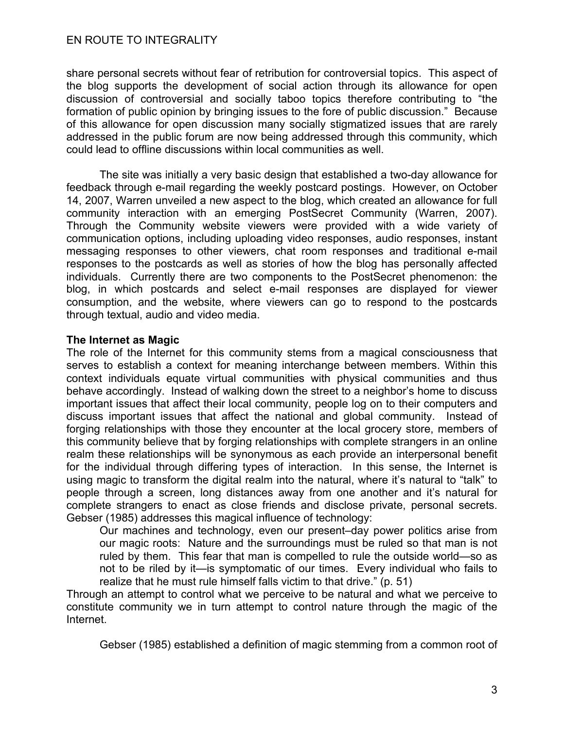share personal secrets without fear of retribution for controversial topics. This aspect of the blog supports the development of social action through its allowance for open discussion of controversial and socially taboo topics therefore contributing to "the formation of public opinion by bringing issues to the fore of public discussion." Because of this allowance for open discussion many socially stigmatized issues that are rarely addressed in the public forum are now being addressed through this community, which could lead to offline discussions within local communities as well.

The site was initially a very basic design that established a two-day allowance for feedback through e-mail regarding the weekly postcard postings. However, on October 14, 2007, Warren unveiled a new aspect to the blog, which created an allowance for full community interaction with an emerging PostSecret Community (Warren, 2007). Through the Community website viewers were provided with a wide variety of communication options, including uploading video responses, audio responses, instant messaging responses to other viewers, chat room responses and traditional e-mail responses to the postcards as well as stories of how the blog has personally affected individuals. Currently there are two components to the PostSecret phenomenon: the blog, in which postcards and select e-mail responses are displayed for viewer consumption, and the website, where viewers can go to respond to the postcards through textual, audio and video media.

#### **The Internet as Magic**

The role of the Internet for this community stems from a magical consciousness that serves to establish a context for meaning interchange between members. Within this context individuals equate virtual communities with physical communities and thus behave accordingly. Instead of walking down the street to a neighbor's home to discuss important issues that affect their local community, people log on to their computers and discuss important issues that affect the national and global community. Instead of forging relationships with those they encounter at the local grocery store, members of this community believe that by forging relationships with complete strangers in an online realm these relationships will be synonymous as each provide an interpersonal benefit for the individual through differing types of interaction. In this sense, the Internet is using magic to transform the digital realm into the natural, where it's natural to "talk" to people through a screen, long distances away from one another and it's natural for complete strangers to enact as close friends and disclose private, personal secrets. Gebser (1985) addresses this magical influence of technology:

Our machines and technology, even our present–day power politics arise from our magic roots: Nature and the surroundings must be ruled so that man is not ruled by them. This fear that man is compelled to rule the outside world—so as not to be riled by it—is symptomatic of our times. Every individual who fails to realize that he must rule himself falls victim to that drive." (p. 51)

Through an attempt to control what we perceive to be natural and what we perceive to constitute community we in turn attempt to control nature through the magic of the Internet.

Gebser (1985) established a definition of magic stemming from a common root of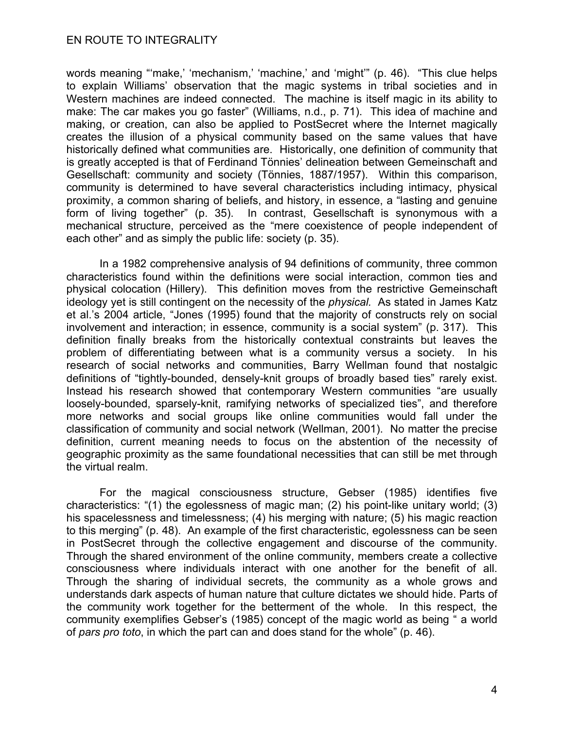words meaning "'make,' 'mechanism,' 'machine,' and 'might'" (p. 46). "This clue helps to explain Williams' observation that the magic systems in tribal societies and in Western machines are indeed connected. The machine is itself magic in its ability to make: The car makes you go faster" (Williams, n.d., p. 71). This idea of machine and making, or creation, can also be applied to PostSecret where the Internet magically creates the illusion of a physical community based on the same values that have historically defined what communities are. Historically, one definition of community that is greatly accepted is that of Ferdinand Tönnies' delineation between Gemeinschaft and Gesellschaft: community and society (Tönnies, 1887/1957). Within this comparison, community is determined to have several characteristics including intimacy, physical proximity, a common sharing of beliefs, and history, in essence, a "lasting and genuine form of living together" (p. 35). In contrast, Gesellschaft is synonymous with a mechanical structure, perceived as the "mere coexistence of people independent of each other" and as simply the public life: society (p. 35).

In a 1982 comprehensive analysis of 94 definitions of community, three common characteristics found within the definitions were social interaction, common ties and physical colocation (Hillery). This definition moves from the restrictive Gemeinschaft ideology yet is still contingent on the necessity of the *physical.* As stated in James Katz et al.'s 2004 article, "Jones (1995) found that the majority of constructs rely on social involvement and interaction; in essence, community is a social system" (p. 317). This definition finally breaks from the historically contextual constraints but leaves the problem of differentiating between what is a community versus a society. In his research of social networks and communities, Barry Wellman found that nostalgic definitions of "tightly-bounded, densely-knit groups of broadly based ties" rarely exist. Instead his research showed that contemporary Western communities "are usually loosely-bounded, sparsely-knit, ramifying networks of specialized ties", and therefore more networks and social groups like online communities would fall under the classification of community and social network (Wellman, 2001). No matter the precise definition, current meaning needs to focus on the abstention of the necessity of geographic proximity as the same foundational necessities that can still be met through the virtual realm.

For the magical consciousness structure, Gebser (1985) identifies five characteristics: "(1) the egolessness of magic man; (2) his point-like unitary world; (3) his spacelessness and timelessness; (4) his merging with nature; (5) his magic reaction to this merging" (p. 48). An example of the first characteristic, egolessness can be seen in PostSecret through the collective engagement and discourse of the community. Through the shared environment of the online community, members create a collective consciousness where individuals interact with one another for the benefit of all. Through the sharing of individual secrets, the community as a whole grows and understands dark aspects of human nature that culture dictates we should hide. Parts of the community work together for the betterment of the whole. In this respect, the community exemplifies Gebser's (1985) concept of the magic world as being " a world of *pars pro toto*, in which the part can and does stand for the whole" (p. 46).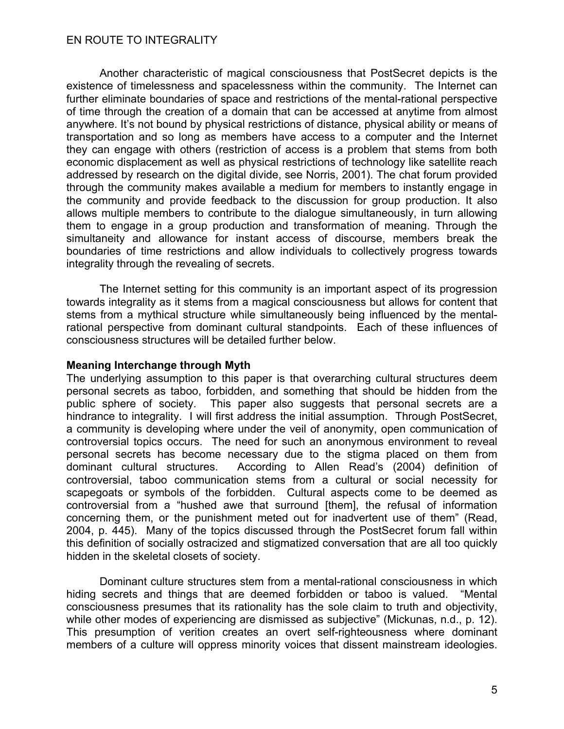Another characteristic of magical consciousness that PostSecret depicts is the existence of timelessness and spacelessness within the community. The Internet can further eliminate boundaries of space and restrictions of the mental-rational perspective of time through the creation of a domain that can be accessed at anytime from almost anywhere. It's not bound by physical restrictions of distance, physical ability or means of transportation and so long as members have access to a computer and the Internet they can engage with others (restriction of access is a problem that stems from both economic displacement as well as physical restrictions of technology like satellite reach addressed by research on the digital divide, see Norris, 2001). The chat forum provided through the community makes available a medium for members to instantly engage in the community and provide feedback to the discussion for group production. It also allows multiple members to contribute to the dialogue simultaneously, in turn allowing them to engage in a group production and transformation of meaning. Through the simultaneity and allowance for instant access of discourse, members break the boundaries of time restrictions and allow individuals to collectively progress towards integrality through the revealing of secrets.

The Internet setting for this community is an important aspect of its progression towards integrality as it stems from a magical consciousness but allows for content that stems from a mythical structure while simultaneously being influenced by the mentalrational perspective from dominant cultural standpoints. Each of these influences of consciousness structures will be detailed further below.

#### **Meaning Interchange through Myth**

The underlying assumption to this paper is that overarching cultural structures deem personal secrets as taboo, forbidden, and something that should be hidden from the public sphere of society. This paper also suggests that personal secrets are a hindrance to integrality. I will first address the initial assumption. Through PostSecret, a community is developing where under the veil of anonymity, open communication of controversial topics occurs. The need for such an anonymous environment to reveal personal secrets has become necessary due to the stigma placed on them from dominant cultural structures. According to Allen Read's (2004) definition of controversial, taboo communication stems from a cultural or social necessity for scapegoats or symbols of the forbidden. Cultural aspects come to be deemed as controversial from a "hushed awe that surround [them], the refusal of information concerning them, or the punishment meted out for inadvertent use of them" (Read, 2004, p. 445). Many of the topics discussed through the PostSecret forum fall within this definition of socially ostracized and stigmatized conversation that are all too quickly hidden in the skeletal closets of society.

Dominant culture structures stem from a mental-rational consciousness in which hiding secrets and things that are deemed forbidden or taboo is valued. "Mental consciousness presumes that its rationality has the sole claim to truth and objectivity, while other modes of experiencing are dismissed as subjective" (Mickunas, n.d., p. 12). This presumption of verition creates an overt self-righteousness where dominant members of a culture will oppress minority voices that dissent mainstream ideologies.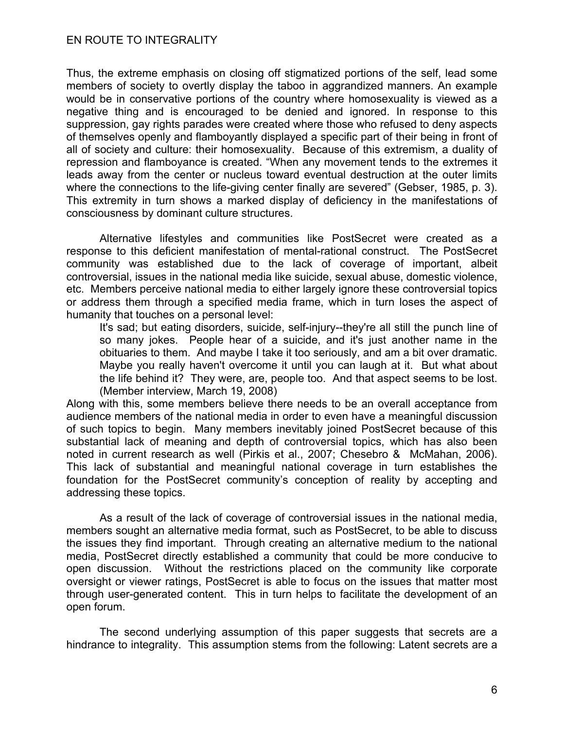Thus, the extreme emphasis on closing off stigmatized portions of the self, lead some members of society to overtly display the taboo in aggrandized manners. An example would be in conservative portions of the country where homosexuality is viewed as a negative thing and is encouraged to be denied and ignored. In response to this suppression, gay rights parades were created where those who refused to deny aspects of themselves openly and flamboyantly displayed a specific part of their being in front of all of society and culture: their homosexuality. Because of this extremism, a duality of repression and flamboyance is created. "When any movement tends to the extremes it leads away from the center or nucleus toward eventual destruction at the outer limits where the connections to the life-giving center finally are severed" (Gebser, 1985, p. 3). This extremity in turn shows a marked display of deficiency in the manifestations of consciousness by dominant culture structures.

Alternative lifestyles and communities like PostSecret were created as a response to this deficient manifestation of mental-rational construct. The PostSecret community was established due to the lack of coverage of important, albeit controversial, issues in the national media like suicide, sexual abuse, domestic violence, etc. Members perceive national media to either largely ignore these controversial topics or address them through a specified media frame, which in turn loses the aspect of humanity that touches on a personal level:

It's sad; but eating disorders, suicide, self-injury--they're all still the punch line of so many jokes. People hear of a suicide, and it's just another name in the obituaries to them. And maybe I take it too seriously, and am a bit over dramatic. Maybe you really haven't overcome it until you can laugh at it. But what about the life behind it? They were, are, people too. And that aspect seems to be lost. (Member interview, March 19, 2008)

Along with this, some members believe there needs to be an overall acceptance from audience members of the national media in order to even have a meaningful discussion of such topics to begin. Many members inevitably joined PostSecret because of this substantial lack of meaning and depth of controversial topics, which has also been noted in current research as well (Pirkis et al., 2007; Chesebro & McMahan, 2006). This lack of substantial and meaningful national coverage in turn establishes the foundation for the PostSecret community's conception of reality by accepting and addressing these topics.

As a result of the lack of coverage of controversial issues in the national media, members sought an alternative media format, such as PostSecret, to be able to discuss the issues they find important. Through creating an alternative medium to the national media, PostSecret directly established a community that could be more conducive to open discussion. Without the restrictions placed on the community like corporate oversight or viewer ratings, PostSecret is able to focus on the issues that matter most through user-generated content. This in turn helps to facilitate the development of an open forum.

The second underlying assumption of this paper suggests that secrets are a hindrance to integrality. This assumption stems from the following: Latent secrets are a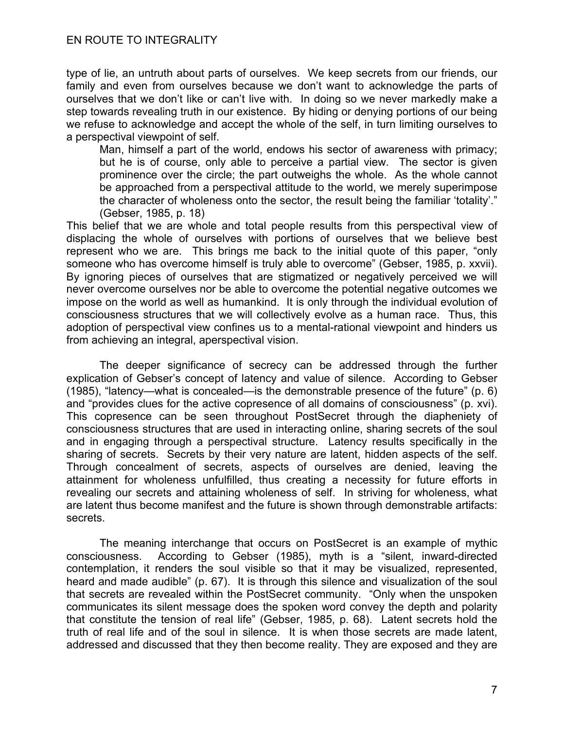type of lie, an untruth about parts of ourselves. We keep secrets from our friends, our family and even from ourselves because we don't want to acknowledge the parts of ourselves that we don't like or can't live with. In doing so we never markedly make a step towards revealing truth in our existence. By hiding or denying portions of our being we refuse to acknowledge and accept the whole of the self, in turn limiting ourselves to a perspectival viewpoint of self.

Man, himself a part of the world, endows his sector of awareness with primacy; but he is of course, only able to perceive a partial view. The sector is given prominence over the circle; the part outweighs the whole. As the whole cannot be approached from a perspectival attitude to the world, we merely superimpose the character of wholeness onto the sector, the result being the familiar 'totality'." (Gebser, 1985, p. 18)

This belief that we are whole and total people results from this perspectival view of displacing the whole of ourselves with portions of ourselves that we believe best represent who we are. This brings me back to the initial quote of this paper, "only someone who has overcome himself is truly able to overcome" (Gebser, 1985, p. xxvii). By ignoring pieces of ourselves that are stigmatized or negatively perceived we will never overcome ourselves nor be able to overcome the potential negative outcomes we impose on the world as well as humankind. It is only through the individual evolution of consciousness structures that we will collectively evolve as a human race. Thus, this adoption of perspectival view confines us to a mental-rational viewpoint and hinders us from achieving an integral, aperspectival vision.

The deeper significance of secrecy can be addressed through the further explication of Gebser's concept of latency and value of silence. According to Gebser (1985), "latency—what is concealed—is the demonstrable presence of the future" (p. 6) and "provides clues for the active copresence of all domains of consciousness" (p. xvi). This copresence can be seen throughout PostSecret through the diapheniety of consciousness structures that are used in interacting online, sharing secrets of the soul and in engaging through a perspectival structure. Latency results specifically in the sharing of secrets. Secrets by their very nature are latent, hidden aspects of the self. Through concealment of secrets, aspects of ourselves are denied, leaving the attainment for wholeness unfulfilled, thus creating a necessity for future efforts in revealing our secrets and attaining wholeness of self. In striving for wholeness, what are latent thus become manifest and the future is shown through demonstrable artifacts: secrets.

The meaning interchange that occurs on PostSecret is an example of mythic consciousness. According to Gebser (1985), myth is a "silent, inward-directed contemplation, it renders the soul visible so that it may be visualized, represented, heard and made audible" (p. 67). It is through this silence and visualization of the soul that secrets are revealed within the PostSecret community. "Only when the unspoken communicates its silent message does the spoken word convey the depth and polarity that constitute the tension of real life" (Gebser, 1985, p. 68). Latent secrets hold the truth of real life and of the soul in silence. It is when those secrets are made latent, addressed and discussed that they then become reality. They are exposed and they are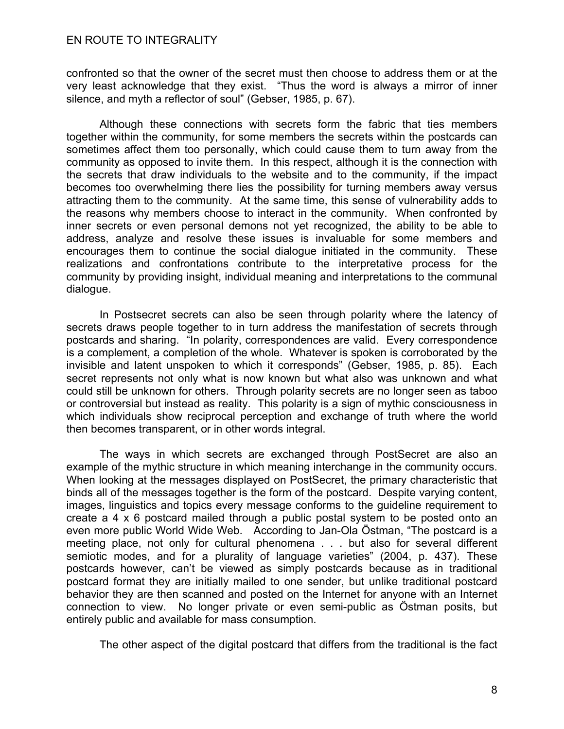confronted so that the owner of the secret must then choose to address them or at the very least acknowledge that they exist. "Thus the word is always a mirror of inner silence, and myth a reflector of soul" (Gebser, 1985, p. 67).

Although these connections with secrets form the fabric that ties members together within the community, for some members the secrets within the postcards can sometimes affect them too personally, which could cause them to turn away from the community as opposed to invite them. In this respect, although it is the connection with the secrets that draw individuals to the website and to the community, if the impact becomes too overwhelming there lies the possibility for turning members away versus attracting them to the community. At the same time, this sense of vulnerability adds to the reasons why members choose to interact in the community. When confronted by inner secrets or even personal demons not yet recognized, the ability to be able to address, analyze and resolve these issues is invaluable for some members and encourages them to continue the social dialogue initiated in the community. These realizations and confrontations contribute to the interpretative process for the community by providing insight, individual meaning and interpretations to the communal dialogue.

In Postsecret secrets can also be seen through polarity where the latency of secrets draws people together to in turn address the manifestation of secrets through postcards and sharing. "In polarity, correspondences are valid. Every correspondence is a complement, a completion of the whole. Whatever is spoken is corroborated by the invisible and latent unspoken to which it corresponds" (Gebser, 1985, p. 85). Each secret represents not only what is now known but what also was unknown and what could still be unknown for others. Through polarity secrets are no longer seen as taboo or controversial but instead as reality. This polarity is a sign of mythic consciousness in which individuals show reciprocal perception and exchange of truth where the world then becomes transparent, or in other words integral.

The ways in which secrets are exchanged through PostSecret are also an example of the mythic structure in which meaning interchange in the community occurs. When looking at the messages displayed on PostSecret, the primary characteristic that binds all of the messages together is the form of the postcard. Despite varying content, images, linguistics and topics every message conforms to the guideline requirement to create a 4 x 6 postcard mailed through a public postal system to be posted onto an even more public World Wide Web. According to Jan-Ola Östman, "The postcard is a meeting place, not only for cultural phenomena . . . but also for several different semiotic modes, and for a plurality of language varieties" (2004, p. 437). These postcards however, can't be viewed as simply postcards because as in traditional postcard format they are initially mailed to one sender, but unlike traditional postcard behavior they are then scanned and posted on the Internet for anyone with an Internet connection to view. No longer private or even semi-public as Östman posits, but entirely public and available for mass consumption.

The other aspect of the digital postcard that differs from the traditional is the fact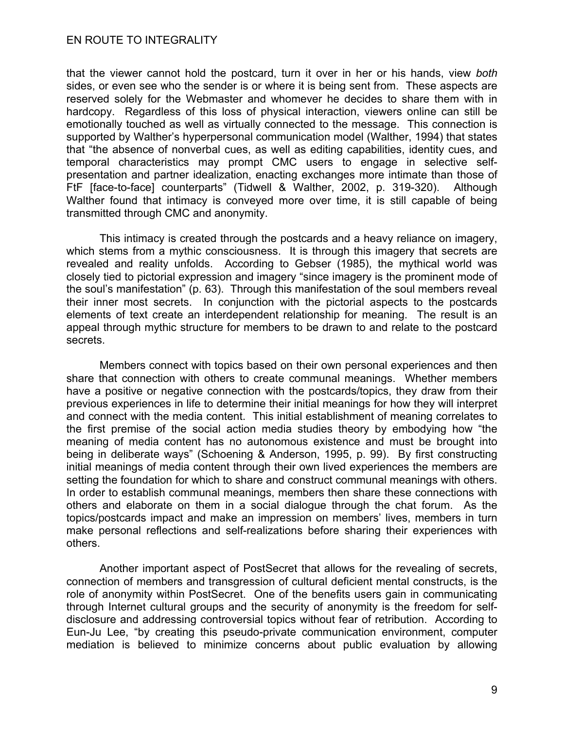that the viewer cannot hold the postcard, turn it over in her or his hands, view *both* sides, or even see who the sender is or where it is being sent from. These aspects are reserved solely for the Webmaster and whomever he decides to share them with in hardcopy. Regardless of this loss of physical interaction, viewers online can still be emotionally touched as well as virtually connected to the message. This connection is supported by Walther's hyperpersonal communication model (Walther, 1994) that states that "the absence of nonverbal cues, as well as editing capabilities, identity cues, and temporal characteristics may prompt CMC users to engage in selective selfpresentation and partner idealization, enacting exchanges more intimate than those of FtF [face-to-face] counterparts" (Tidwell & Walther, 2002, p. 319-320). Although Walther found that intimacy is conveyed more over time, it is still capable of being transmitted through CMC and anonymity.

This intimacy is created through the postcards and a heavy reliance on imagery, which stems from a mythic consciousness. It is through this imagery that secrets are revealed and reality unfolds. According to Gebser (1985), the mythical world was closely tied to pictorial expression and imagery "since imagery is the prominent mode of the soul's manifestation" (p. 63). Through this manifestation of the soul members reveal their inner most secrets. In conjunction with the pictorial aspects to the postcards elements of text create an interdependent relationship for meaning. The result is an appeal through mythic structure for members to be drawn to and relate to the postcard secrets.

Members connect with topics based on their own personal experiences and then share that connection with others to create communal meanings. Whether members have a positive or negative connection with the postcards/topics, they draw from their previous experiences in life to determine their initial meanings for how they will interpret and connect with the media content. This initial establishment of meaning correlates to the first premise of the social action media studies theory by embodying how "the meaning of media content has no autonomous existence and must be brought into being in deliberate ways" (Schoening & Anderson, 1995, p. 99). By first constructing initial meanings of media content through their own lived experiences the members are setting the foundation for which to share and construct communal meanings with others. In order to establish communal meanings, members then share these connections with others and elaborate on them in a social dialogue through the chat forum. As the topics/postcards impact and make an impression on members' lives, members in turn make personal reflections and self-realizations before sharing their experiences with others.

Another important aspect of PostSecret that allows for the revealing of secrets, connection of members and transgression of cultural deficient mental constructs, is the role of anonymity within PostSecret. One of the benefits users gain in communicating through Internet cultural groups and the security of anonymity is the freedom for selfdisclosure and addressing controversial topics without fear of retribution. According to Eun-Ju Lee, "by creating this pseudo-private communication environment, computer mediation is believed to minimize concerns about public evaluation by allowing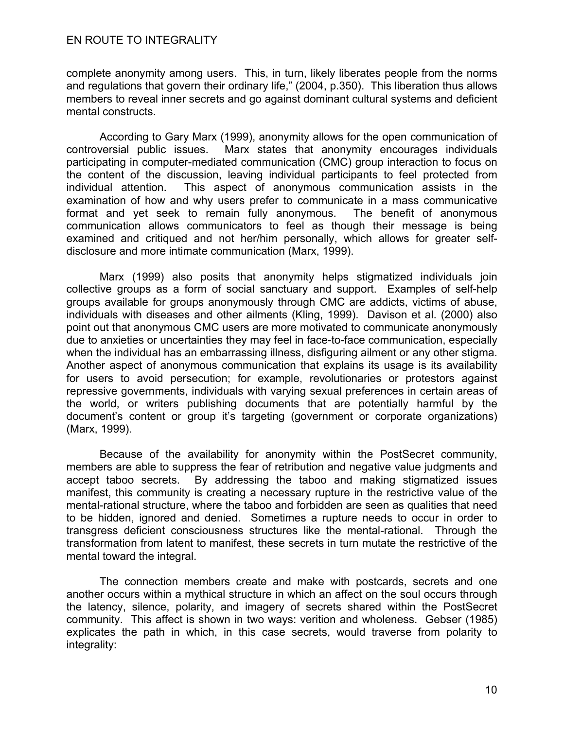complete anonymity among users. This, in turn, likely liberates people from the norms and regulations that govern their ordinary life," (2004, p.350). This liberation thus allows members to reveal inner secrets and go against dominant cultural systems and deficient mental constructs.

According to Gary Marx (1999), anonymity allows for the open communication of controversial public issues. Marx states that anonymity encourages individuals participating in computer-mediated communication (CMC) group interaction to focus on the content of the discussion, leaving individual participants to feel protected from individual attention. This aspect of anonymous communication assists in the examination of how and why users prefer to communicate in a mass communicative format and yet seek to remain fully anonymous. The benefit of anonymous communication allows communicators to feel as though their message is being examined and critiqued and not her/him personally, which allows for greater selfdisclosure and more intimate communication (Marx, 1999).

Marx (1999) also posits that anonymity helps stigmatized individuals join collective groups as a form of social sanctuary and support. Examples of self-help groups available for groups anonymously through CMC are addicts, victims of abuse, individuals with diseases and other ailments (Kling, 1999). Davison et al. (2000) also point out that anonymous CMC users are more motivated to communicate anonymously due to anxieties or uncertainties they may feel in face-to-face communication, especially when the individual has an embarrassing illness, disfiguring ailment or any other stigma. Another aspect of anonymous communication that explains its usage is its availability for users to avoid persecution; for example, revolutionaries or protestors against repressive governments, individuals with varying sexual preferences in certain areas of the world, or writers publishing documents that are potentially harmful by the document's content or group it's targeting (government or corporate organizations) (Marx, 1999).

Because of the availability for anonymity within the PostSecret community, members are able to suppress the fear of retribution and negative value judgments and accept taboo secrets. By addressing the taboo and making stigmatized issues manifest, this community is creating a necessary rupture in the restrictive value of the mental-rational structure, where the taboo and forbidden are seen as qualities that need to be hidden, ignored and denied. Sometimes a rupture needs to occur in order to transgress deficient consciousness structures like the mental-rational. Through the transformation from latent to manifest, these secrets in turn mutate the restrictive of the mental toward the integral.

The connection members create and make with postcards, secrets and one another occurs within a mythical structure in which an affect on the soul occurs through the latency, silence, polarity, and imagery of secrets shared within the PostSecret community. This affect is shown in two ways: verition and wholeness. Gebser (1985) explicates the path in which, in this case secrets, would traverse from polarity to integrality: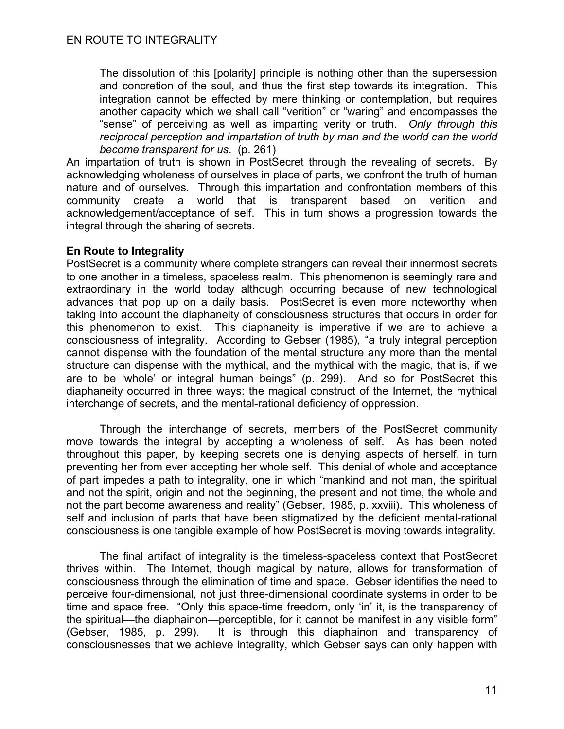The dissolution of this [polarity] principle is nothing other than the supersession and concretion of the soul, and thus the first step towards its integration. This integration cannot be effected by mere thinking or contemplation, but requires another capacity which we shall call "verition" or "waring" and encompasses the "sense" of perceiving as well as imparting verity or truth. *Only through this*  reciprocal perception and impartation of truth by man and the world can the world *become transparent for us*. (p. 261)

An impartation of truth is shown in PostSecret through the revealing of secrets. By acknowledging wholeness of ourselves in place of parts, we confront the truth of human nature and of ourselves. Through this impartation and confrontation members of this community create a world that is transparent based on verition and acknowledgement/acceptance of self. This in turn shows a progression towards the integral through the sharing of secrets.

# **En Route to Integrality**

PostSecret is a community where complete strangers can reveal their innermost secrets to one another in a timeless, spaceless realm. This phenomenon is seemingly rare and extraordinary in the world today although occurring because of new technological advances that pop up on a daily basis. PostSecret is even more noteworthy when taking into account the diaphaneity of consciousness structures that occurs in order for this phenomenon to exist. This diaphaneity is imperative if we are to achieve a consciousness of integrality. According to Gebser (1985), "a truly integral perception cannot dispense with the foundation of the mental structure any more than the mental structure can dispense with the mythical, and the mythical with the magic, that is, if we are to be 'whole' or integral human beings" (p. 299). And so for PostSecret this diaphaneity occurred in three ways: the magical construct of the Internet, the mythical interchange of secrets, and the mental-rational deficiency of oppression.

Through the interchange of secrets, members of the PostSecret community move towards the integral by accepting a wholeness of self. As has been noted throughout this paper, by keeping secrets one is denying aspects of herself, in turn preventing her from ever accepting her whole self. This denial of whole and acceptance of part impedes a path to integrality, one in which "mankind and not man, the spiritual and not the spirit, origin and not the beginning, the present and not time, the whole and not the part become awareness and reality" (Gebser, 1985, p. xxviii). This wholeness of self and inclusion of parts that have been stigmatized by the deficient mental-rational consciousness is one tangible example of how PostSecret is moving towards integrality.

The final artifact of integrality is the timeless-spaceless context that PostSecret thrives within. The Internet, though magical by nature, allows for transformation of consciousness through the elimination of time and space. Gebser identifies the need to perceive four-dimensional, not just three-dimensional coordinate systems in order to be time and space free. "Only this space-time freedom, only 'in' it, is the transparency of the spiritual—the diaphainon—perceptible, for it cannot be manifest in any visible form" (Gebser, 1985, p. 299). It is through this diaphainon and transparency of consciousnesses that we achieve integrality, which Gebser says can only happen with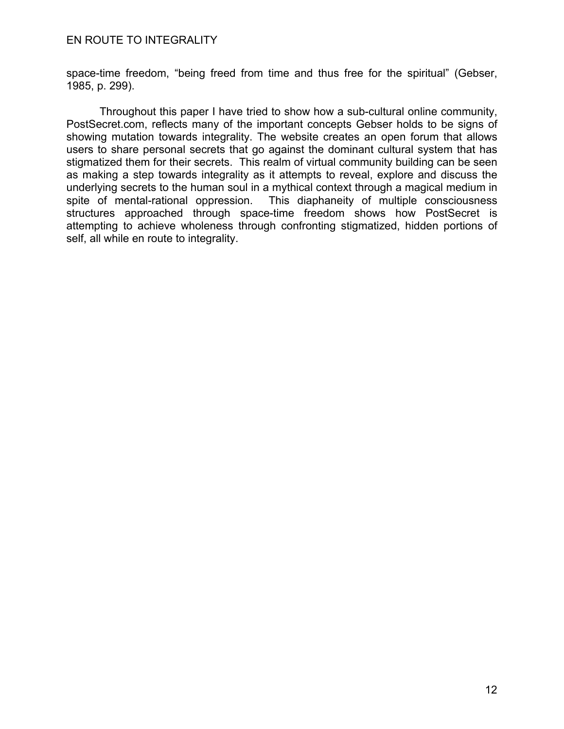space-time freedom, "being freed from time and thus free for the spiritual" (Gebser, 1985, p. 299).

Throughout this paper I have tried to show how a sub-cultural online community, PostSecret.com, reflects many of the important concepts Gebser holds to be signs of showing mutation towards integrality. The website creates an open forum that allows users to share personal secrets that go against the dominant cultural system that has stigmatized them for their secrets. This realm of virtual community building can be seen as making a step towards integrality as it attempts to reveal, explore and discuss the underlying secrets to the human soul in a mythical context through a magical medium in spite of mental-rational oppression. This diaphaneity of multiple consciousness structures approached through space-time freedom shows how PostSecret is attempting to achieve wholeness through confronting stigmatized, hidden portions of self, all while en route to integrality.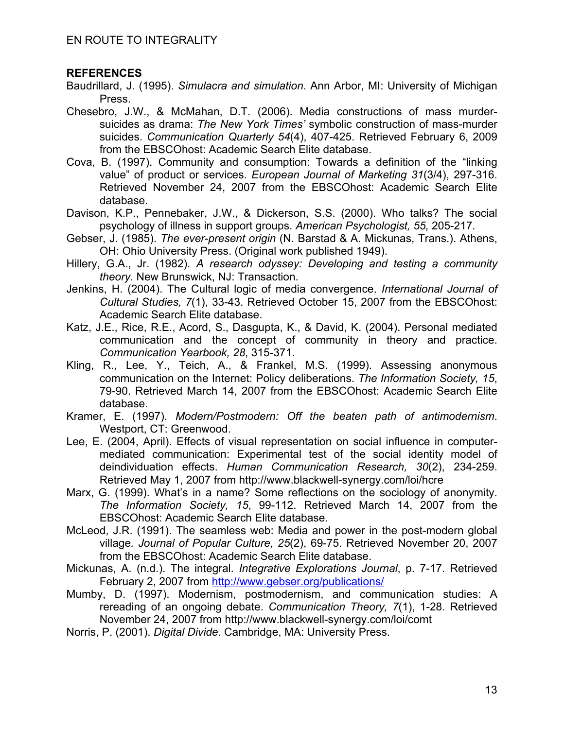# **REFERENCES**

- Baudrillard, J. (1995). *Simulacra and simulation*. Ann Arbor, MI: University of Michigan Press.
- Chesebro, J.W., & McMahan, D.T. (2006). Media constructions of mass murdersuicides as drama: *The New York Times'* symbolic construction of mass-murder suicides. *Communication Quarterly 54*(4), 407-425. Retrieved February 6, 2009 from the EBSCOhost: Academic Search Elite database.
- Cova, B. (1997). Community and consumption: Towards a definition of the "linking value" of product or services. *European Journal of Marketing 31*(3/4), 297-316. Retrieved November 24, 2007 from the EBSCOhost: Academic Search Elite database.
- Davison, K.P., Pennebaker, J.W., & Dickerson, S.S. (2000). Who talks? The social psychology of illness in support groups. *American Psychologist, 55,* 205-217*.*
- Gebser, J. (1985). *The ever-present origin* (N. Barstad & A. Mickunas, Trans.). Athens, OH: Ohio University Press. (Original work published 1949).
- Hillery, G.A., Jr. (1982). *A research odyssey: Developing and testing a community theory.* New Brunswick, NJ: Transaction.
- Jenkins, H. (2004). The Cultural logic of media convergence. *International Journal of Cultural Studies, 7*(1), 33-43. Retrieved October 15, 2007 from the EBSCOhost: Academic Search Elite database.
- Katz, J.E., Rice, R.E., Acord, S., Dasgupta, K., & David, K. (2004). Personal mediated communication and the concept of community in theory and practice. *Communication Yearbook, 28*, 315-371.
- Kling, R., Lee, Y., Teich, A., & Frankel, M.S. (1999). Assessing anonymous communication on the Internet: Policy deliberations. *The Information Society, 15*, 79-90. Retrieved March 14, 2007 from the EBSCOhost: Academic Search Elite database.
- Kramer, E. (1997). *Modern/Postmodern: Off the beaten path of antimodernism*. Westport, CT: Greenwood.
- Lee, E. (2004, April). Effects of visual representation on social influence in computermediated communication: Experimental test of the social identity model of deindividuation effects. *Human Communication Research, 30*(2), 234-259. Retrieved May 1, 2007 from http://www.blackwell-synergy.com/loi/hcre
- Marx, G. (1999). What's in a name? Some reflections on the sociology of anonymity. *The Information Society, 15*, 99-112. Retrieved March 14, 2007 from the EBSCOhost: Academic Search Elite database.
- McLeod, J.R. (1991). The seamless web: Media and power in the post-modern global village*. Journal of Popular Culture, 25*(2), 69-75. Retrieved November 20, 2007 from the EBSCOhost: Academic Search Elite database.
- Mickunas, A. (n.d.). The integral. *Integrative Explorations Journal*, p. 7-17. Retrieved February 2, 2007 from http://www.gebser.org/publications/
- Mumby, D. (1997). Modernism, postmodernism, and communication studies: A rereading of an ongoing debate. *Communication Theory, 7*(1), 1-28. Retrieved November 24, 2007 from http://www.blackwell-synergy.com/loi/comt
- Norris, P. (2001). *Digital Divide*. Cambridge, MA: University Press.